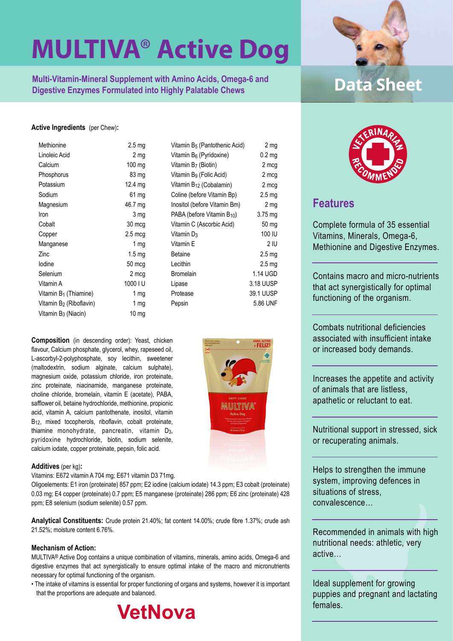**Multi-Vitamin-Mineral Supplement with Amino Acids, Omega-6 and <b>Data Sheet**<br>Digestive Enzymes Formulated into Highly Palatable Chews

#### **Active Ingredients** (per Chew)**:**

| Methionine                          | 2.5 <sub>mg</sub> | Vitamin B <sub>5</sub> (Pantothenic Acid) | 2 mg              |
|-------------------------------------|-------------------|-------------------------------------------|-------------------|
| Linoleic Acid                       | 2 <sub>mg</sub>   | Vitamin B <sub>6</sub> (Pyridoxine)       | $0.2$ mg          |
| Calcium                             | $100$ mg          | Vitamin B <sub>7</sub> (Biotin)           | 2 mcg             |
| Phosphorus                          | 83 mg             | Vitamin B <sub>9</sub> (Folic Acid)       | 2 mcg             |
| Potassium                           | 12.4 $mg$         | Vitamin B <sub>12</sub> (Cobalamin)       | 2 mcg             |
| Sodium                              | 61 mg             | Coline (before Vitamin Bp)                | $2.5 \text{ mg}$  |
| Magnesium                           | 46.7 mg           | Inositol (before Vitamin Bm)              | 2 mg              |
| <b>Iron</b>                         | 3 <sub>mg</sub>   | PABA (before Vitamin $B_{10}$ )           | $3.75 \text{ mg}$ |
| Cobalt                              | 30 mcg            | Vitamin C (Ascorbic Acid)                 | 50 mg             |
| Copper                              | $2.5 \text{ mcg}$ | Vitamin $D_3$                             | 100 IU            |
| Manganese                           | 1 $mg$            | Vitamin E                                 | 2 IU              |
| Zinc                                | 1.5 <sub>mq</sub> | <b>Betaine</b>                            | $2.5 \text{ mg}$  |
| lodine                              | 50 mcg            | Lecithin                                  | 2.5 <sub>mg</sub> |
| Selenium                            | 2 mcg             | <b>Bromelain</b>                          | 1.14 UGD          |
| Vitamin A                           | 1000 I U          | Lipase                                    | 3.18 UUSP         |
| Vitamin B <sub>1</sub> (Thiamine)   | 1 $mg$            | Protease                                  | 39.1 UUSP         |
| Vitamin B <sub>2</sub> (Riboflavin) | 1 $mg$            | Pepsin                                    | 5.86 UNF          |
| Vitamin B <sub>3</sub> (Niacin)     | 10 <sub>mg</sub>  |                                           |                   |

**Composition** (in descending order): Yeast, chicken flavour, Calcium phosphate, glycerol, whey, rapeseed oil, L-ascorbyl-2-polyphosphate, soy lecithin, sweetener (maltodextrin, sodium alginate, calcium sulphate), magnesium oxide, potassium chloride, iron proteinate, zinc proteinate, niacinamide, manganese proteinate, choline chloride, bromelain, vitamin E (acetate), PABA, safflower oil, betaine hydrochloride, methionine, propionic acid, vitamin A, calcium pantothenate, inositol, vitamin B<sub>12</sub>, mixed tocopherols, riboflavin, cobalt proteinate, thiamine monohydrate, pancreatin, vitamin D3, pyridoxine hydrochloride, biotin, sodium selenite, calcium iodate, copper proteinate, pepsin, folic acid.

#### **Additives** (per kg)**:**

Vitamins: E672 vitamin A 704 mg; E671 vitamin D3 71mg.

Oligoelements: E1 iron (proteinate) 857 ppm; E2 iodine (calcium iodate) 14.3 ppm; E3 cobalt (proteinate) 0.03 mg; E4 copper (proteinate) 0.7 ppm; E5 manganese (proteinate) 286 ppm; E6 zinc (proteinate) 428 ppm; E8 selenium (sodium selenite) 0.57 ppm.

**Analytical Constituents:** Crude protein 21.40%; fat content 14.00%; crude fibre 1.37%; crude ash 21.52%; moisture content 6.76%.

#### **Mechanism of Action:**

MULTIVA® Active Dog contains a unique combination of vitamins, minerals, amino acids, Omega-6 and digestive enzymes that act synergistically to ensure optimal intake of the macro and micronutrients necessary for optimal functioning of the organism.

• The intake of vitamins is essential for proper functioning of organs and systems, however it is important that the proportions are adequate and balanced.









### **Features**

Complete formula of 35 essential Vitamins, Minerals, Omega-6, Methionine and Digestive Enzymes.

Contains macro and micro-nutrients that act synergistically for optimal functioning of the organism.

Combats nutritional deficiencies associated with insufficient intake or increased body demands.

Increases the appetite and activity of animals that are listless, apathetic or reluctant to eat.

Nutritional support in stressed, sick or recuperating animals.

Helps to strengthen the immune system, improving defences in situations of stress, convalescence…

Recommended in animals with high nutritional needs: athletic, very active…

Ideal supplement for growing puppies and pregnant and lactating females.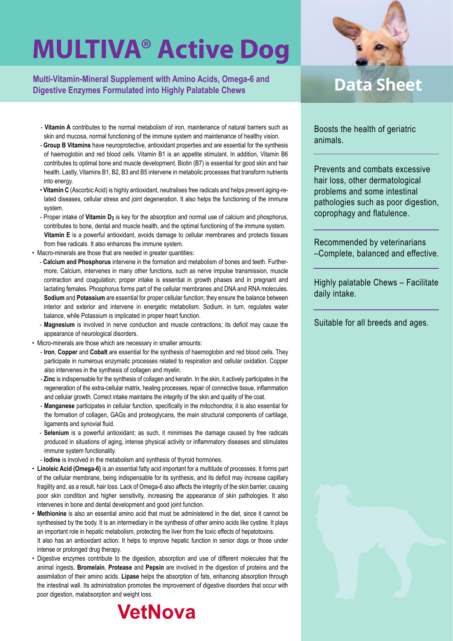**Multi-Vitamin-Mineral Supplement with Amino Acids, Omega-6 and Digestive Enzymes Formulated into Highly Palatable Chews**

- **Vitamin A** contributes to the normal metabolism of iron, maintenance of natural barriers such as skin and mucosa, normal functioning of the immune system and maintenance of healthy vision.
- **Group B Vitamins** have neuroprotective, antioxidant properties and are essential for the synthesis of haemoglobin and red blood cells. Vitamin B1 is an appetite stimulant. In addition, Vitamin B6 contributes to optimal bone and muscle development. Biotin (B7) is essential for good skin and hair health. Lastly, Vitamins B1, B2, B3 and B5 intervene in metabolic processes that transform nutrients into energy.
- **Vitamin C** (Ascorbic Acid) is highly antioxidant, neutralises free radicals and helps prevent aging-related diseases, cellular stress and joint degeneration. It also helps the functioning of the immune system.
- Proper intake of **Vitamin D3** is key for the absorption and normal use of calcium and phosphorus, contributes to bone, dental and muscle health, and the optimal functioning of the immune system. **Vitamin E** is a powerful antioxidant, avoids damage to cellular membranes and protects tissues from free radicals. It also enhances the immune system.
- Macro-minerals are those that are needed in greater quantities:
	- **Calcium and Phosphorus** intervene in the formation and metabolism of bones and teeth. Furthermore, Calcium, intervenes in many other functions, such as nerve impulse transmission, muscle contraction and coagulation; proper intake is essential in growth phases and in pregnant and lactating females. Phosphorus forms part of the cellular membranes and DNA and RNA molecules. **Sodium** and **Potassium** are essential for proper cellular function; they ensure the balance between interior and exterior and intervene in energetic metabolism. Sodium, in turn, regulates water balance, while Potassium is implicated in proper heart function.
	- **Magnesium** is involved in nerve conduction and muscle contractions; its deficit may cause the appearance of neurological disorders.
- Micro-minerals are those which are necessary in smaller amounts:
	- **Iron**, **Copper** and **Cobalt** are essential for the synthesis of haemoglobin and red blood cells. They participate in numerous enzymatic processes related to respiration and cellular oxidation. Copper also intervenes in the synthesis of collagen and myelin.
	- **Zinc** is indispensable for the synthesis of collagen and keratin. In the skin, it actively participates in the regeneration of the extra-cellular matrix, healing processes, repair of connective tissue, inflammation and cellular growth. Correct intake maintains the integrity of the skin and quality of the coat.
	- **Manganese** participates in cellular function, specifically in the mitochondria; it is also essential for the formation of collagen, GAGs and proteoglycans, the main structural components of cartilage, ligaments and synovial fluid.
	- **Selenium** is a powerful antioxidant; as such, it minimises the damage caused by free radicals produced in situations of aging, intense physical activity or inflammatory diseases and stimulates immune system functionality.
	- **Iodine** is involved in the metabolism and synthesis of thyroid hormones.
- **Linoleic Acid (Omega-6)** is an essential fatty acid important for a multitude of processes. It forms part of the cellular membrane, being indispensable for its synthesis, and its deficit may increase capillary fragility and, as a result, hair loss. Lack of Omega-6 also affects the integrity of the skin barrier, causing poor skin condition and higher sensitivity, increasing the appearance of skin pathologies. It also intervenes in bone and dental development and good joint function.
- **Methionine** is also an essential amino acid that must be administered in the diet, since it cannot be synthesised by the body. It is an intermediary in the synthesis of other amino acids like cystine. It plays an important role in hepatic metabolism, protecting the liver from the toxic effects of hepatotoxins. It also has an antioxidant action. It helps to improve hepatic function in senior dogs or those under intense or prolonged drug therapy.
- Digestive enzymes contribute to the digestion, absorption and use of different molecules that the animal ingests. **Bromelain**, **Protease** and **Pepsin** are involved in the digestion of proteins and the assimilation of their amino acids. **Lipase** helps the absorption of fats, enhancing absorption through the intestinal wall. Its administration promotes the improvement of digestive disorders that occur with poor digestion, malabsorption and weight loss.





### **Data Sheet**

Boosts the health of geriatric animals.

Prevents and combats excessive hair loss, other dermatological problems and some intestinal pathologies such as poor digestion, coprophagy and flatulence.

Recommended by veterinarians –Complete, balanced and effective.

Highly palatable Chews – Facilitate daily intake.

Suitable for all breeds and ages.

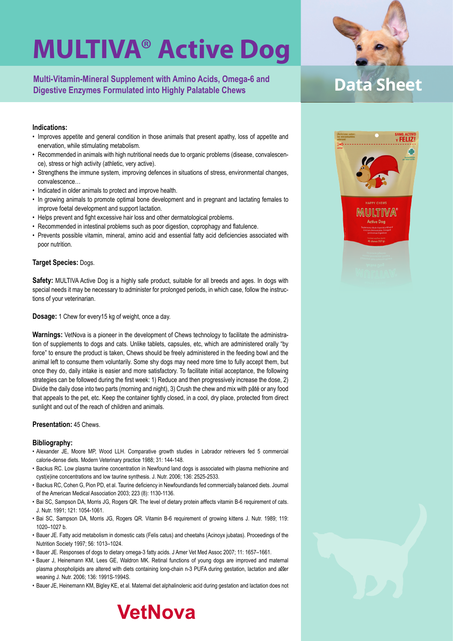**Multi-Vitamin-Mineral Supplement with Amino Acids, Omega-6 and Digestive Enzymes Formulated into Highly Palatable Chews**

#### **Indications:**

- Improves appetite and general condition in those animals that present apathy, loss of appetite and enervation, while stimulating metabolism.
- Recommended in animals with high nutritional needs due to organic problems (disease, convalescence), stress or high activity (athletic, very active).
- Strengthens the immune system, improving defences in situations of stress, environmental changes, convalescence…
- Indicated in older animals to protect and improve health.
- In growing animals to promote optimal bone development and in pregnant and lactating females to improve foetal development and support lactation.
- Helps prevent and fight excessive hair loss and other dermatological problems.
- Recommended in intestinal problems such as poor digestion, coprophagy and flatulence.
- Prevents possible vitamin, mineral, amino acid and essential fatty acid deficiencies associated with poor nutrition.

#### **Target Species:** Dogs.

**Safety:** MULTIVA Active Dog is a highly safe product, suitable for all breeds and ages. In dogs with special needs it may be necessary to administer for prolonged periods, in which case, follow the instructions of your veterinarian.

**Dosage:** 1 Chew for every15 kg of weight, once a day.

**Warnings:** VetNova is a pioneer in the development of Chews technology to facilitate the administration of supplements to dogs and cats. Unlike tablets, capsules, etc, which are administered orally "by force" to ensure the product is taken, Chews should be freely administered in the feeding bowl and the animal left to consume them voluntarily. Some shy dogs may need more time to fully accept them, but once they do, daily intake is easier and more satisfactory. To facilitate initial acceptance, the following strategies can be followed during the first week: 1) Reduce and then progressively increase the dose, 2) Divide the daily dose into two parts (morning and night), 3) Crush the chew and mix with pâté or any food that appeals to the pet, etc. Keep the container tightly closed, in a cool, dry place, protected from direct sunlight and out of the reach of children and animals.

#### **Presentation:** 45 Chews.

#### **Bibliography:**

- Alexander JE, Moore MP, Wood LLH. Comparative growth studies in Labrador retrievers fed 5 commercial calorie-dense diets. Modern Veterinary practice 1988; 31: 144-148.
- Backus RC. Low plasma taurine concentration in Newfound land dogs is associated with plasma methionine and cyst(e)ine concentrations and low taurine synthesis. J. Nutr. 2006; 136: 2525-2533.
- Backus RC, Cohen G, Pion PD, et al. Taurine deficiency in Newfoundlands fed commercially balanced diets. Journal of the American Medical Association 2003; 223 (8): 1130-1136.
- Bai SC, Sampson DA, Morris JG, Rogers QR. The level of dietary protein affects vitamin B-6 requirement of cats. J. Nutr. 1991; 121: 1054-1061.
- Bai SC, Sampson DA, Morris JG, Rogers QR. Vitamin B-6 requirement of growing kittens J. Nutr. 1989; 119: 1020–1027 b.
- Bauer JE. Fatty acid metabolism in domestic cats (Felis catus) and cheetahs (Acinoyx jubatas). Proceedings of the Nutrition Society 1997; 56: 1013–1024.
- Bauer JE. Responses of dogs to dietary omega-3 fatty acids. J Amer Vet Med Assoc 2007; 11: 1657–1661.
- Bauer J, Heinemann KM, Lees GE, Waldron MK. Retinal functions of young dogs are improved and maternal plasma phospholipids are altered with diets containing long-chain n-3 PUFA during gestation, lactation and a er weaning J. Nutr. 2006; 136: 1991S-1994S.
- Bauer JE, Heinemann KM, Bigley KE, et al. Maternal diet alphalinolenic acid during gestation and lactation does not





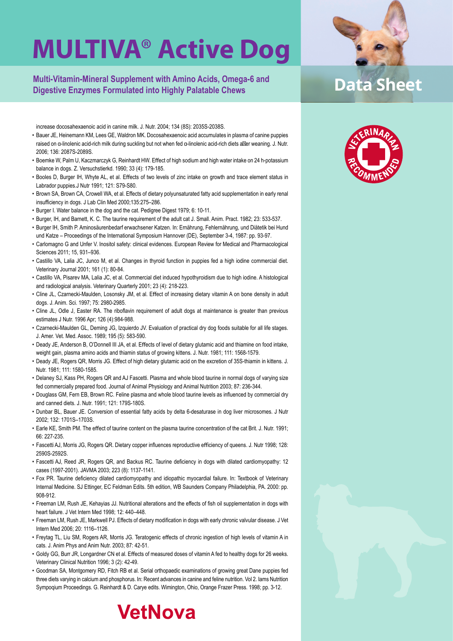**Multi-Vitamin-Mineral Supplement with Amino Acids, Omega-6 and Digestive Enzymes Formulated into Highly Palatable Chews**

increase docosahexaenoic acid in canine milk. J. Nutr. 2004; 134 (8S): 2035S-2038S.

- Bauer JE, Heinemann KM, Lees GE, Waldron MK. Docosahexaenoic acid accumulates in plasma of canine puppies raised on α-linolenic acid-rich milk during suckling but not when fed α-linolenic acid-rich diets a er weaning. J. Nutr. 2006; 136: 2087S-2089S.
- Boemke W, Palm U, Kaczmarczyk G, Reinhardt HW. Effect of high sodium and high water intake on 24 h-potassium balance in dogs. Z. Versuchstierkd. 1990; 33 (4): 179-185.
- Booles D, Burger IH, Whyte AL, et al. Effects of two levels of zinc intake on growth and trace element status in Labrador puppies.J Nutr 1991; 121: S79-S80.
- Brown SA, Brown CA, Crowell WA, et al. Effects of dietary polyunsaturated fatty acid supplementation in early renal insufficiency in dogs. J Lab Clin Med 2000;135:275–286.
- Burger I. Water balance in the dog and the cat. Pedigree Digest 1979; 6: 10-11.
- Burger, IH, and Barnett, K. C. The taurine requirement of the adult cat J. Small. Anim. Pract. 1982; 23: 533-537.
- Burger IH, Smith P. Aminosäurenbedarf erwachsener Katzen. In: Ernährung, Fehlernährung, und Diätetik bei Hund und Katze – Proceedings of the International Symposium Hannover (DE), September 3-4, 1987: pp. 93-97.
- Carlomagno G and Unfer V. Inositol safety: clinical evidences. European Review for Medical and Pharmacological Sciences 2011; 15, 931–936.
- Castillo VA, Lalia JC, Junco M, et al. Changes in thyroid function in puppies fed a high iodine commercial diet. Veterinary Journal 2001; 161 (1): 80-84.
- Castillo VA, Pisarev MA, Lalia JC, et al. Commercial diet induced hypothyroidism due to high iodine. A histological and radiological analysis. Veterinary Quarterly 2001; 23 (4): 218-223.
- Cline JL, Czarnecki-Maulden, Losonsky JM, et al. Effect of increasing dietary vitamin A on bone density in adult dogs. J. Anim. Sci. 1997; 75: 2980-2985.
- Cline JL, Odle J, Easter RA. The riboflavin requirement of adult dogs at maintenance is greater than previous estimates J Nutr. 1996 Apr; 126 (4):984-988.
- Czarnecki-Maulden GL, Deming JG, Izquierdo JV. Evaluation of practical dry dog foods suitable for all life stages. J. Amer. Vet. Med. Assoc. 1989; 195 (5): 583-590.
- Deady JE, Anderson B, O'Donnell III JA, et al. Effects of level of dietary glutamic acid and thiamine on food intake, weight gain, plasma amino acids and thiamin status of growing kittens. J. Nutr. 1981; 111: 1568-1579.
- Deady JE, Rogers QR, Morris JG. Effect of high dietary glutamic acid on the excretion of 35S-thiamin in kittens. J. Nutr. 1981; 111: 1580-1585.
- Delaney SJ, Kass PH, Rogers QR and AJ Fascetti. Plasma and whole blood taurine in normal dogs of varying size fed commercially prepared food. Journal of Animal Physiology and Animal Nutrition 2003; 87: 236-344.
- Douglass GM, Fern EB, Brown RC. Feline plasma and whole blood taurine levels as influenced by commercial dry and canned diets. J. Nutr. 1991; 121: 179S-180S.
- Dunbar BL, Bauer JE. Conversion of essential fatty acids by delta 6-desaturase in dog liver microsomes. J Nutr 2002; 132: 1701S–1703S.
- Earle KE, Smith PM. The effect of taurine content on the plasma taurine concentration of the cat Brit. J. Nutr. 1991; 66: 227-235.
- Fascetti AJ, Morris JG, Rogers QR. Dietary copper influences reproductive efficiency of queens. J. Nutr 1998; 128: 2590S-2592S.
- Fascetti AJ, Reed JR, Rogers QR, and Backus RC. Taurine deficiency in dogs with dilated cardiomyopathy: 12 cases (1997-2001). JAVMA 2003; 223 (8): 1137-1141.
- Fox PR. Taurine deficiency dilated cardiomyopathy and idiopathic myocardial failure. In: Textbook of Veterinary Internal Medicine. SJ Ettinger, EC Feldman Edits. 5th edition, WB Saunders Company Philadelphia, PA. 2000: pp. 908-912.
- Freeman LM, Rush JE, Kehayias JJ. Nutritional alterations and the effects of fish oil supplementation in dogs with heart failure. J Vet Intern Med 1998; 12: 440–448.
- Freeman LM, Rush JE, Markwell PJ. Effects of dietary modification in dogs with early chronic valvular disease. J Vet Intern Med 2006; 20: 1116–1126.
- Freytag TL, Liu SM, Rogers AR, Morris JG. Teratogenic effects of chronic ingestion of high levels of vitamin A in cats. J. Anim Phys and Anim Nutr. 2003; 87: 42-51.
- Goldy GG, Burr JR, Longardner CN et al. Effects of measured doses of vitamin A fed to healthy dogs for 26 weeks. Veterinary Clinical Nutrition 1996; 3 (2): 42-49.
- Goodman SA, Montgomery RD, Fitch RB et al. Serial orthopaedic examinations of growing great Dane puppies fed three diets varying in calcium and phosphorus. In: Recent advances in canine and feline nutrition. Vol 2. Iams Nutrition Sympoqium Proceedings. G. Reinhardt & D. Carye edits. Wimington, Ohio, Orange Frazer Press. 1998; pp. 3-12.

**VetNova** 



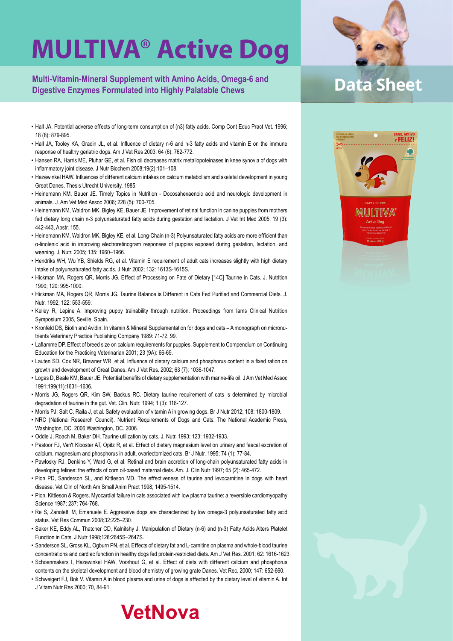**Multi-Vitamin-Mineral Supplement with Amino Acids, Omega-6 and Digestive Enzymes Formulated into Highly Palatable Chews**

- Hall JA. Potential adverse effects of long-term consumption of (n3) fatty acids. Comp Cont Educ Pract Vet. 1996; 18 (8): 879-895.
- Hall JA, Tooley KA, Gradin JL, et al. Influence of dietary n-6 and n-3 fatty acids and vitamin E on the immune response of healthy geriatric dogs. Am J Vet Res 2003; 64 (6): 762-772.
- Hansen RA, Harris ME, Pluhar GE, et al. Fish oil decreases matrix metallopoteinases in knee synovia of dogs with inflammatory joint disease. J Nutr Biochem 2008;19(2):101–108.
- Hazewinkel HAW. Influences of different calcium intakes on calcium metabolism and skeletal development in young Great Danes. Thesis Utrecht University, 1985.
- Heinemann KM, Bauer JE. Timely Topics in Nutrition Docosahexaenoic acid and neurologic development in animals. J. Am Vet Med Assoc 2006; 228 (5): 700-705.
- Heinemann KM, Waldron MK, Bigley KE, Bauer JE. Improvement of retinal function in canine puppies from mothers fed dietary long chain n-3 polyunsaturated fatty acids during gestation and lactation. J Vet Int Med 2005; 19 (3): 442-443, Abstr. 155.
- Heinemann KM, Waldron MK, Bigley KE, et al. Long-Chain (n-3) Polyunsaturated fatty acids are more efficient than α-linolenic acid in improving electroretinogram responses of puppies exposed during gestation, lactation, and weaning. J. Nutr. 2005; 135: 1960–1966.
- Hendriks WH, Wu YB, Shields RG, et al. Vitamin E requirement of adult cats increases slightly with high dietary intake of polyunsaturated fatty acids. J Nutr 2002; 132: 1613S-1615S.
- Hickman MA, Rogers QR, Morris JG. Effect of Processing on Fate of Dietary [14C] Taurine in Cats. J. Nutrition 1990; 120: 995-1000.
- Hickman MA, Rogers QR, Morris JG. Taurine Balance is Different in Cats Fed Purified and Commercial Diets. J. Nutr. 1992; 122: 553-559.
- Kelley R, Lepine A. Improving puppy trainability through nutrition. Proceedings from Iams Clinical Nutrition Symposium 2005, Seville, Spain.
- Kronfeld DS, Biotin and Avidin. In vitamin & Mineral Supplementation for dogs and cats A monograph on micronutrients Veterinary Practice Publishing Company 1989: 71-72, 99.
- Laflamme DP. Effect of breed size on calcium requirements for puppies. Supplement to Compendium on Continuing Education for the Practicing Veterinarian 2001; 23 (9A): 66-69.
- Lauten SD, Cox NR, Brawner WR, et al. Influence of dietary calcium and phosphorus content in a fixed ration on growth and development of Great Danes. Am J Vet Res. 2002; 63 (7): 1036-1047.
- Logas D, Beale KM, Bauer JE. Potential benefits of dietary supplementation with marine-life oil. J Am Vet Med Assoc 1991;199(11):1631–1636.
- Morris JG, Rogers QR, Kim SW, Backus RC. Dietary taurine requirement of cats is determined by microbial degradation of taurine in the gut. Vet. Clin. Nutr. 1994; 1 (3): 118-127.
- Morris PJ, Salt C, Raila J, et al. Safety evaluation of vitamin A in growing dogs. Br J Nutr 2012; 108: 1800-1809.
- NRC (National Research Council). Nutrient Requirements of Dogs and Cats. The National Academic Press, Washington, DC. 2006.Washington, DC. 2006.
- Oddle J, Roach M, Baker DH. Taurine utilization by cats. J. Nutr. 1993; 123: 1932-1933.
- Pastoor FJ, Van't Klooster AT, Opitz R, et al. Effect of dietary magnesium level on urinary and faecal excretion of calcium, magnesium and phosphorus in adult, ovariectomized cats. Br J Nutr. 1995; 74 (1): 77-84.
- Pawlosky RJ, Denkins Y, Ward G, et al. Retinal and brain accretion of long-chain polyunsaturated fatty acids in developing felines: the effects of corn oil-based maternal diets. Am. J. Clin Nutr 1997; 65 (2): 465-472.
- Pion PD, Sanderson SL, and Kittleson MD. The effectiveness of taurine and levocarnitine in dogs with heart disease. Vet Clin of North Am Small Anim Pract 1998; 1495-1514.
- Pion, Kittleson & Rogers. Myocardial failure in cats associated with low plasma taurine: a reversible cardiomyopathy Science 1987; 237: 764-768.
- Re S, Zanoletti M, Emanuele E. Aggressive dogs are characterized by low omega-3 polyunsaturated fatty acid status. Vet Res Commun 2008;32:225–230.
- Saker KE, Eddy AL, Thatcher CD, Kalnitshy J. Manipulation of Dietary (n-6) and (n-3) Fatty Acids Alters Platelet Function in Cats. J Nutr 1998;128:2645S–2647S.
- Sanderson SL, Gross KL, Ogburn PN, et al. Effects of dietary fat and L-carnitine on plasma and whole-blood taurine concentrations and cardiac function in healthy dogs fed protein-restricted diets. Am J Vet Res. 2001; 62: 1616-1623.
- Schoenmakers I, Hazewinkel HAW, Voorhout G, et al. Effect of diets with different calcium and phosphorus contents on the skeletal development and blood chemistry of growing grate Danes. Vet Rec. 2000; 147: 652-660.
- Schweigert FJ, Bok V. Vitamin A in blood plasma and urine of dogs is affected by the dietary level of vitamin A. Int J Vitam Nutr Res 2000; 70, 84-91.